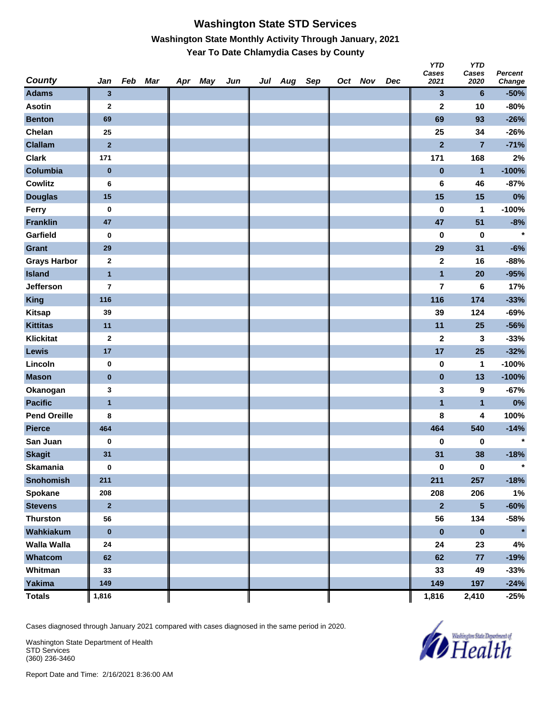#### **Washington State STD Services Washington State Monthly Activity Through January, 2021 Year To Date Chlamydia Cases by County**

| County              | Jan                     | Feb Mar | Apr May | Jun | Jul Aug Sep |  | Oct Nov | Dec | <b>YTD</b><br>Cases<br>2021 | <b>YTD</b><br>Cases<br>2020 | <b>Percent</b><br>Change |
|---------------------|-------------------------|---------|---------|-----|-------------|--|---------|-----|-----------------------------|-----------------------------|--------------------------|
| <b>Adams</b>        | $\mathbf{3}$            |         |         |     |             |  |         |     | 3                           | 6                           | $-50%$                   |
| <b>Asotin</b>       | $\mathbf{2}$            |         |         |     |             |  |         |     | $\mathbf 2$                 | 10                          | $-80%$                   |
| <b>Benton</b>       | 69                      |         |         |     |             |  |         |     | 69                          | 93                          | $-26%$                   |
| Chelan              | 25                      |         |         |     |             |  |         |     | 25                          | 34                          | $-26%$                   |
| <b>Clallam</b>      | $\overline{2}$          |         |         |     |             |  |         |     | $\overline{\mathbf{2}}$     | $\overline{7}$              | $-71%$                   |
| <b>Clark</b>        | 171                     |         |         |     |             |  |         |     | 171                         | 168                         | 2%                       |
| Columbia            | $\pmb{0}$               |         |         |     |             |  |         |     | $\bf{0}$                    | $\mathbf{1}$                | $-100%$                  |
| <b>Cowlitz</b>      | 6                       |         |         |     |             |  |         |     | 6                           | 46                          | $-87%$                   |
| <b>Douglas</b>      | 15                      |         |         |     |             |  |         |     | 15                          | 15                          | 0%                       |
| Ferry               | $\bf{0}$                |         |         |     |             |  |         |     | 0                           | 1                           | $-100%$                  |
| <b>Franklin</b>     | 47                      |         |         |     |             |  |         |     | 47                          | 51                          | $-8%$                    |
| Garfield            | $\bf{0}$                |         |         |     |             |  |         |     | 0                           | $\bf{0}$                    | $\star$                  |
| <b>Grant</b>        | 29                      |         |         |     |             |  |         |     | 29                          | 31                          | $-6%$                    |
| <b>Grays Harbor</b> | $\mathbf{2}$            |         |         |     |             |  |         |     | $\mathbf 2$                 | 16                          | $-88%$                   |
| <b>Island</b>       | $\overline{1}$          |         |         |     |             |  |         |     | $\blacksquare$              | 20                          | $-95%$                   |
| Jefferson           | $\overline{\mathbf{r}}$ |         |         |     |             |  |         |     | $\overline{\mathbf{r}}$     | 6                           | 17%                      |
| <b>King</b>         | 116                     |         |         |     |             |  |         |     | 116                         | 174                         | $-33%$                   |
| <b>Kitsap</b>       | 39                      |         |         |     |             |  |         |     | 39                          | 124                         | $-69%$                   |
| <b>Kittitas</b>     | 11                      |         |         |     |             |  |         |     | 11                          | 25                          | $-56%$                   |
| <b>Klickitat</b>    | $\boldsymbol{2}$        |         |         |     |             |  |         |     | $\mathbf 2$                 | 3                           | $-33%$                   |
| <b>Lewis</b>        | 17                      |         |         |     |             |  |         |     | 17                          | 25                          | $-32%$                   |
| Lincoln             | 0                       |         |         |     |             |  |         |     | 0                           | 1                           | $-100%$                  |
| <b>Mason</b>        | $\bf{0}$                |         |         |     |             |  |         |     | $\pmb{0}$                   | 13                          | $-100%$                  |
| Okanogan            | 3                       |         |         |     |             |  |         |     | 3                           | 9                           | $-67%$                   |
| <b>Pacific</b>      | $\mathbf{1}$            |         |         |     |             |  |         |     | $\mathbf{1}$                | $\mathbf{1}$                | $0\%$                    |
| <b>Pend Oreille</b> | 8                       |         |         |     |             |  |         |     | 8                           | 4                           | 100%                     |
| <b>Pierce</b>       | 464                     |         |         |     |             |  |         |     | 464                         | 540                         | $-14%$                   |
| San Juan            | $\bf{0}$                |         |         |     |             |  |         |     | 0                           | 0                           | $\star$                  |
| <b>Skagit</b>       | 31                      |         |         |     |             |  |         |     | 31                          | 38                          | $-18%$                   |
| <b>Skamania</b>     | $\bf{0}$                |         |         |     |             |  |         |     | $\pmb{0}$                   | $\pmb{0}$                   | $\star$                  |
| Snohomish           | 211                     |         |         |     |             |  |         |     | 211                         | 257                         | $-18%$                   |
| Spokane             | 208                     |         |         |     |             |  |         |     | 208                         | 206                         | 1%                       |
| <b>Stevens</b>      | $\mathbf{2}$            |         |         |     |             |  |         |     | $\mathbf{2}$                | $\overline{\mathbf{5}}$     | $-60%$                   |
| <b>Thurston</b>     | 56                      |         |         |     |             |  |         |     | 56                          | 134                         | $-58%$                   |
| Wahkiakum           | $\pmb{0}$               |         |         |     |             |  |         |     | $\pmb{0}$                   | $\pmb{0}$                   | $\star$                  |
| <b>Walla Walla</b>  | 24                      |         |         |     |             |  |         |     | 24                          | 23                          | 4%                       |
| Whatcom             | 62                      |         |         |     |             |  |         |     | 62                          | $77\,$                      | $-19%$                   |
| Whitman             | 33                      |         |         |     |             |  |         |     | 33                          | 49                          | $-33%$                   |
| <b>Yakima</b>       | 149                     |         |         |     |             |  |         |     | 149                         | 197                         | $-24%$                   |
| <b>Totals</b>       | 1,816                   |         |         |     |             |  |         |     | 1,816                       | 2,410                       | $-25%$                   |

Cases diagnosed through January 2021 compared with cases diagnosed in the same period in 2020.

Washington State Department of Health STD Services (360) 236-3460

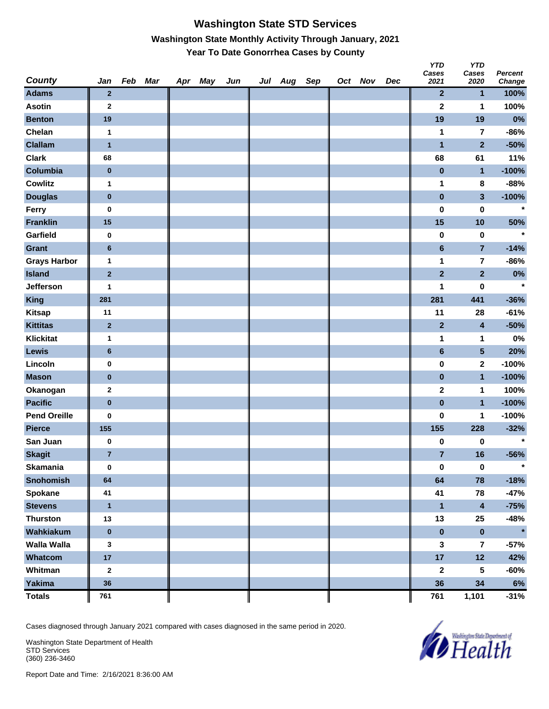## **Washington State STD Services Washington State Monthly Activity Through January, 2021 Year To Date Gonorrhea Cases by County**

| County              | Jan            | Feb Mar | Apr May | Jun | Jul Aug Sep |  | Oct Nov | Dec | <b>YTD</b><br>Cases<br>2021 | <b>YTD</b><br>Cases<br>2020 | <b>Percent</b><br>Change |
|---------------------|----------------|---------|---------|-----|-------------|--|---------|-----|-----------------------------|-----------------------------|--------------------------|
| <b>Adams</b>        | $\mathbf{2}$   |         |         |     |             |  |         |     | $\mathbf{2}$                | 1                           | 100%                     |
| <b>Asotin</b>       | $\mathbf{2}$   |         |         |     |             |  |         |     | $\mathbf 2$                 | 1                           | 100%                     |
| <b>Benton</b>       | 19             |         |         |     |             |  |         |     | 19                          | 19                          | 0%                       |
| Chelan              | $\mathbf{1}$   |         |         |     |             |  |         |     | 1                           | $\overline{\mathbf{r}}$     | $-86%$                   |
| <b>Clallam</b>      | $\overline{1}$ |         |         |     |             |  |         |     | $\mathbf{1}$                | $\overline{2}$              | $-50%$                   |
| <b>Clark</b>        | 68             |         |         |     |             |  |         |     | 68                          | 61                          | 11%                      |
| Columbia            | $\pmb{0}$      |         |         |     |             |  |         |     | $\pmb{0}$                   | $\mathbf{1}$                | $-100%$                  |
| <b>Cowlitz</b>      | $\mathbf{1}$   |         |         |     |             |  |         |     | 1                           | 8                           | $-88%$                   |
| <b>Douglas</b>      | $\bf{0}$       |         |         |     |             |  |         |     | $\pmb{0}$                   | 3                           | $-100%$                  |
| Ferry               | 0              |         |         |     |             |  |         |     | $\pmb{0}$                   | $\pmb{0}$                   | $\star$                  |
| <b>Franklin</b>     | 15             |         |         |     |             |  |         |     | 15                          | 10                          | 50%                      |
| Garfield            | 0              |         |         |     |             |  |         |     | 0                           | $\bf{0}$                    | $\star$                  |
| <b>Grant</b>        | $6\phantom{1}$ |         |         |     |             |  |         |     | $6\phantom{a}$              | $\overline{7}$              | $-14%$                   |
| <b>Grays Harbor</b> | $\mathbf{1}$   |         |         |     |             |  |         |     | 1                           | $\overline{\mathbf{r}}$     | $-86%$                   |
| <b>Island</b>       | $\mathbf 2$    |         |         |     |             |  |         |     | $\overline{2}$              | $\overline{2}$              | $0\%$                    |
| Jefferson           | 1              |         |         |     |             |  |         |     | 1                           | 0                           | $\star$                  |
| <b>King</b>         | 281            |         |         |     |             |  |         |     | 281                         | 441                         | $-36%$                   |
| <b>Kitsap</b>       | 11             |         |         |     |             |  |         |     | 11                          | 28                          | $-61%$                   |
| <b>Kittitas</b>     | $\mathbf 2$    |         |         |     |             |  |         |     | $\mathbf{2}$                | 4                           | $-50%$                   |
| <b>Klickitat</b>    | $\mathbf{1}$   |         |         |     |             |  |         |     | 1                           | 1                           | $0\%$                    |
| <b>Lewis</b>        | $6\phantom{1}$ |         |         |     |             |  |         |     | $6\phantom{a}$              | $5\phantom{.0}$             | 20%                      |
| Lincoln             | 0              |         |         |     |             |  |         |     | 0                           | 2                           | $-100%$                  |
| <b>Mason</b>        | $\bf{0}$       |         |         |     |             |  |         |     | $\pmb{0}$                   | $\mathbf{1}$                | $-100%$                  |
| Okanogan            | $\bf{2}$       |         |         |     |             |  |         |     | $\mathbf 2$                 | 1                           | 100%                     |
| <b>Pacific</b>      | $\pmb{0}$      |         |         |     |             |  |         |     | $\pmb{0}$                   | $\mathbf{1}$                | $-100%$                  |
| <b>Pend Oreille</b> | $\bf{0}$       |         |         |     |             |  |         |     | 0                           | 1                           | $-100%$                  |
| <b>Pierce</b>       | 155            |         |         |     |             |  |         |     | 155                         | 228                         | $-32%$                   |
| San Juan            | $\pmb{0}$      |         |         |     |             |  |         |     | 0                           | 0                           | $\star$                  |
| <b>Skagit</b>       | $\overline{7}$ |         |         |     |             |  |         |     | $\overline{7}$              | 16                          | $-56%$                   |
| <b>Skamania</b>     | $\bf{0}$       |         |         |     |             |  |         |     | $\pmb{0}$                   | $\pmb{0}$                   | $\star$                  |
| Snohomish           | 64             |         |         |     |             |  |         |     | 64                          | 78                          | $-18%$                   |
| Spokane             | 41             |         |         |     |             |  |         |     | 41                          | 78                          | $-47%$                   |
| <b>Stevens</b>      | $\mathbf{1}$   |         |         |     |             |  |         |     | $\overline{\mathbf{1}}$     | 4                           | $-75%$                   |
| <b>Thurston</b>     | 13             |         |         |     |             |  |         |     | 13                          | 25                          | $-48%$                   |
| Wahkiakum           | $\pmb{0}$      |         |         |     |             |  |         |     | $\pmb{0}$                   | $\pmb{0}$                   | $\star$                  |
| Walla Walla         | 3              |         |         |     |             |  |         |     | 3                           | $\overline{7}$              | $-57%$                   |
| Whatcom             | 17             |         |         |     |             |  |         |     | 17                          | 12                          | 42%                      |
| Whitman             | $\mathbf{2}$   |         |         |     |             |  |         |     | $\mathbf{2}$                | 5                           | $-60%$                   |
| <b>Yakima</b>       | 36             |         |         |     |             |  |         |     | 36                          | 34                          | $6\%$                    |
| <b>Totals</b>       | 761            |         |         |     |             |  |         |     | 761                         | 1,101                       | $-31%$                   |

Cases diagnosed through January 2021 compared with cases diagnosed in the same period in 2020.

Washington State Department of Health STD Services (360) 236-3460

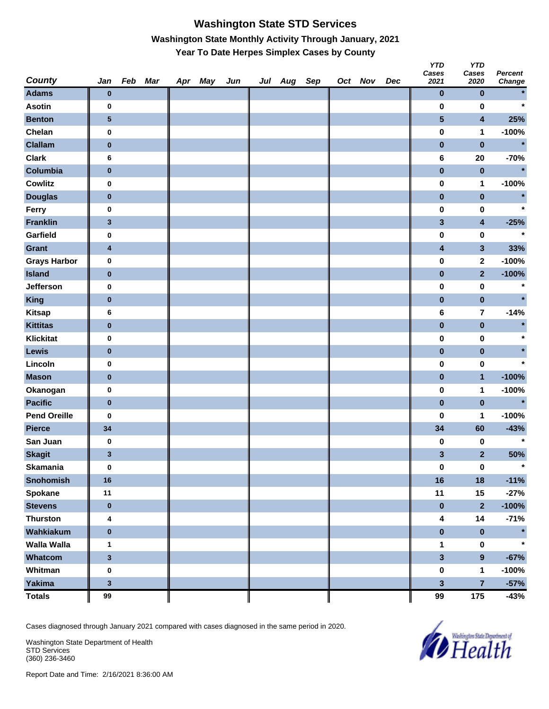# **Washington State STD Services Washington State Monthly Activity Through January, 2021 Year To Date Herpes Simplex Cases by County**

| <b>County</b>       | Jan                     | Feb Mar | Apr May | Jun | Jul Aug Sep |  | Oct Nov | Dec | <b>YTD</b><br>Cases<br>2021 | <b>YTD</b><br>Cases<br>2020 | <b>Percent</b><br>Change |
|---------------------|-------------------------|---------|---------|-----|-------------|--|---------|-----|-----------------------------|-----------------------------|--------------------------|
| <b>Adams</b>        | $\bf{0}$                |         |         |     |             |  |         |     | $\pmb{0}$                   | $\pmb{0}$                   |                          |
| <b>Asotin</b>       | 0                       |         |         |     |             |  |         |     | $\bf{0}$                    | $\bf{0}$                    | $\star$                  |
| <b>Benton</b>       | ${\bf 5}$               |         |         |     |             |  |         |     | $\overline{\mathbf{5}}$     | $\overline{\mathbf{4}}$     | 25%                      |
| Chelan              | 0                       |         |         |     |             |  |         |     | $\pmb{0}$                   | 1                           | $-100%$                  |
| <b>Clallam</b>      | $\pmb{0}$               |         |         |     |             |  |         |     | $\pmb{0}$                   | $\pmb{0}$                   | $\star$                  |
| <b>Clark</b>        | 6                       |         |         |     |             |  |         |     | $\bf 6$                     | ${\bf 20}$                  | $-70%$                   |
| Columbia            | $\pmb{0}$               |         |         |     |             |  |         |     | $\pmb{0}$                   | $\pmb{0}$                   | $\star$                  |
| <b>Cowlitz</b>      | $\bf{0}$                |         |         |     |             |  |         |     | $\pmb{0}$                   | 1                           | $-100%$                  |
| <b>Douglas</b>      | $\bf{0}$                |         |         |     |             |  |         |     | $\pmb{0}$                   | $\pmb{0}$                   | $\star$                  |
| Ferry               | 0                       |         |         |     |             |  |         |     | 0                           | $\pmb{0}$                   | $\star$                  |
| <b>Franklin</b>     | $\mathbf{3}$            |         |         |     |             |  |         |     | $\mathbf{3}$                | $\overline{\mathbf{4}}$     | $-25%$                   |
| Garfield            | 0                       |         |         |     |             |  |         |     | $\pmb{0}$                   | 0                           | $\star$                  |
| Grant               | $\overline{\mathbf{4}}$ |         |         |     |             |  |         |     | $\overline{\mathbf{4}}$     | $\mathbf{3}$                | 33%                      |
| <b>Grays Harbor</b> | 0                       |         |         |     |             |  |         |     | $\pmb{0}$                   | $\mathbf{2}$                | $-100%$                  |
| <b>Island</b>       | $\pmb{0}$               |         |         |     |             |  |         |     | $\pmb{0}$                   | $\overline{2}$              | $-100%$                  |
| Jefferson           | 0                       |         |         |     |             |  |         |     | $\pmb{0}$                   | $\pmb{0}$                   | $\star$                  |
| <b>King</b>         | $\pmb{0}$               |         |         |     |             |  |         |     | $\pmb{0}$                   | $\mathbf 0$                 | $\star$                  |
| <b>Kitsap</b>       | 6                       |         |         |     |             |  |         |     | 6                           | 7                           | $-14%$                   |
| <b>Kittitas</b>     | $\pmb{0}$               |         |         |     |             |  |         |     | $\pmb{0}$                   | $\pmb{0}$                   |                          |
| <b>Klickitat</b>    | 0                       |         |         |     |             |  |         |     | 0                           | $\pmb{0}$                   |                          |
| Lewis               | $\bf{0}$                |         |         |     |             |  |         |     | $\pmb{0}$                   | $\pmb{0}$                   |                          |
| Lincoln             | 0                       |         |         |     |             |  |         |     | $\pmb{0}$                   | 0                           | $\star$                  |
| <b>Mason</b>        | $\pmb{0}$               |         |         |     |             |  |         |     | $\pmb{0}$                   | $\mathbf{1}$                | $-100%$                  |
| Okanogan            | $\bf{0}$                |         |         |     |             |  |         |     | $\pmb{0}$                   | 1                           | $-100%$                  |
| <b>Pacific</b>      | $\pmb{0}$               |         |         |     |             |  |         |     | $\pmb{0}$                   | $\pmb{0}$                   | $\star$                  |
| <b>Pend Oreille</b> | 0                       |         |         |     |             |  |         |     | 0                           | 1                           | $-100%$                  |
| <b>Pierce</b>       | 34                      |         |         |     |             |  |         |     | 34                          | 60                          | $-43%$                   |
| San Juan            | $\bf{0}$                |         |         |     |             |  |         |     | 0                           | 0                           | $\star$                  |
| <b>Skagit</b>       | $\mathbf{3}$            |         |         |     |             |  |         |     | 3                           | $\overline{2}$              | 50%                      |
| <b>Skamania</b>     | $\bf{0}$                |         |         |     |             |  |         |     | $\pmb{0}$                   | $\pmb{0}$                   | $\star$                  |
| <b>Snohomish</b>    | 16                      |         |         |     |             |  |         |     | 16                          | 18                          | $-11%$                   |
| <b>Spokane</b>      | 11                      |         |         |     |             |  |         |     | 11                          | 15                          | $-27%$                   |
| <b>Stevens</b>      | $\pmb{0}$               |         |         |     |             |  |         |     | $\pmb{0}$                   | $\overline{\mathbf{2}}$     | $-100%$                  |
| <b>Thurston</b>     | 4                       |         |         |     |             |  |         |     | 4                           | 14                          | $-71%$                   |
| Wahkiakum           | $\pmb{0}$               |         |         |     |             |  |         |     | $\pmb{0}$                   | $\pmb{0}$                   |                          |
| <b>Walla Walla</b>  | $\mathbf{1}$            |         |         |     |             |  |         |     | $\mathbf 1$                 | $\pmb{0}$                   |                          |
| Whatcom             | $\mathbf{3}$            |         |         |     |             |  |         |     | $\overline{\mathbf{3}}$     | $\overline{9}$              | $-67%$                   |
| Whitman             | $\bf{0}$                |         |         |     |             |  |         |     | $\pmb{0}$                   | $\mathbf{1}$                | $-100%$                  |
| Yakima              | $\mathbf 3$             |         |         |     |             |  |         |     | $\overline{\mathbf{3}}$     | $\overline{7}$              | $-57%$                   |
| <b>Totals</b>       | 99                      |         |         |     |             |  |         |     | 99                          | 175                         | $-43%$                   |

Cases diagnosed through January 2021 compared with cases diagnosed in the same period in 2020.

Washington State Department of Health STD Services (360) 236-3460

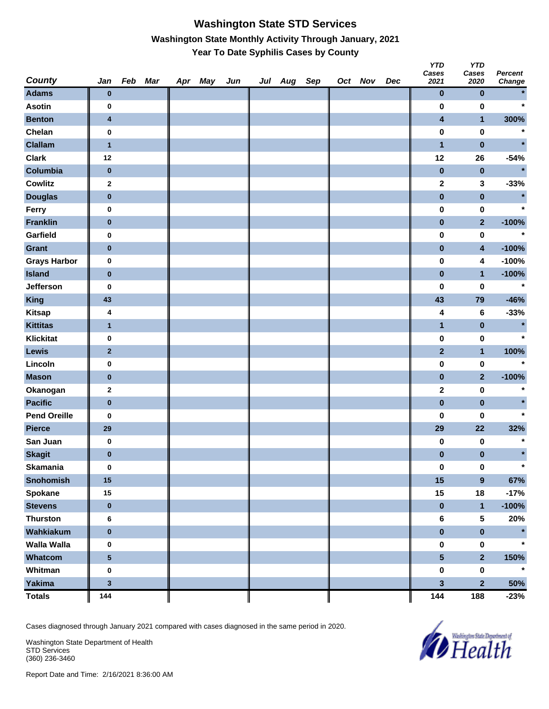#### **Washington State STD Services Washington State Monthly Activity Through January, 2021 Year To Date Syphilis Cases by County**

| <b>County</b>       | Jan                     | Feb Mar | Apr May | Jun | Jul Aug | Sep | Oct Nov | Dec | טוז<br>Cases<br>2021    | טוז<br>Cases<br>2020    | <b>Percent</b><br>Change |
|---------------------|-------------------------|---------|---------|-----|---------|-----|---------|-----|-------------------------|-------------------------|--------------------------|
| <b>Adams</b>        | $\bf{0}$                |         |         |     |         |     |         |     | $\mathbf 0$             | $\bf{0}$                |                          |
| <b>Asotin</b>       | 0                       |         |         |     |         |     |         |     | $\bf{0}$                | $\bf{0}$                | $\star$                  |
| <b>Benton</b>       | $\overline{\mathbf{4}}$ |         |         |     |         |     |         |     | $\overline{\mathbf{4}}$ | $\mathbf{1}$            | 300%                     |
| Chelan              | $\bf{0}$                |         |         |     |         |     |         |     | $\pmb{0}$               | $\pmb{0}$               | $\star$                  |
| <b>Clallam</b>      | $\overline{1}$          |         |         |     |         |     |         |     | $\mathbf{1}$            | $\pmb{0}$               |                          |
| <b>Clark</b>        | 12                      |         |         |     |         |     |         |     | 12                      | 26                      | $-54%$                   |
| Columbia            | $\pmb{0}$               |         |         |     |         |     |         |     | $\pmb{0}$               | $\pmb{0}$               |                          |
| <b>Cowlitz</b>      | $\mathbf{2}$            |         |         |     |         |     |         |     | $\mathbf 2$             | 3                       | $-33%$                   |
| <b>Douglas</b>      | $\pmb{0}$               |         |         |     |         |     |         |     | $\pmb{0}$               | $\pmb{0}$               |                          |
| Ferry               | 0                       |         |         |     |         |     |         |     | $\pmb{0}$               | $\pmb{0}$               | $\star$                  |
| <b>Franklin</b>     | $\bf{0}$                |         |         |     |         |     |         |     | $\pmb{0}$               | $\overline{2}$          | $-100%$                  |
| Garfield            | 0                       |         |         |     |         |     |         |     | $\bf{0}$                | $\pmb{0}$               | $\star$                  |
| Grant               | $\bf{0}$                |         |         |     |         |     |         |     | $\pmb{0}$               | $\overline{\mathbf{4}}$ | $-100%$                  |
| <b>Grays Harbor</b> | $\pmb{0}$               |         |         |     |         |     |         |     | $\pmb{0}$               | 4                       | $-100%$                  |
| <b>Island</b>       | $\pmb{0}$               |         |         |     |         |     |         |     | $\pmb{0}$               | $\mathbf{1}$            | $-100%$                  |
| Jefferson           | 0                       |         |         |     |         |     |         |     | $\bf{0}$                | $\pmb{0}$               | $\star$                  |
| <b>King</b>         | 43                      |         |         |     |         |     |         |     | 43                      | 79                      | $-46%$                   |
| <b>Kitsap</b>       | 4                       |         |         |     |         |     |         |     | 4                       | 6                       | $-33%$                   |
| <b>Kittitas</b>     | $\mathbf{1}$            |         |         |     |         |     |         |     | $\mathbf{1}$            | $\pmb{0}$               | $\star$                  |
| <b>Klickitat</b>    | 0                       |         |         |     |         |     |         |     | $\pmb{0}$               | $\pmb{0}$               | $\star$                  |
| Lewis               | $\mathbf{2}$            |         |         |     |         |     |         |     | $\mathbf{2}$            | $\mathbf{1}$            | 100%                     |
| Lincoln             | 0                       |         |         |     |         |     |         |     | $\pmb{0}$               | $\pmb{0}$               | $\star$                  |
| <b>Mason</b>        | $\bf{0}$                |         |         |     |         |     |         |     | $\pmb{0}$               | $\overline{2}$          | $-100%$                  |
| Okanogan            | $\bf{2}$                |         |         |     |         |     |         |     | $\mathbf 2$             | $\pmb{0}$               | $\ast$                   |
| <b>Pacific</b>      | $\pmb{0}$               |         |         |     |         |     |         |     | $\pmb{0}$               | $\pmb{0}$               |                          |
| <b>Pend Oreille</b> | 0                       |         |         |     |         |     |         |     | 0                       | 0                       |                          |
| <b>Pierce</b>       | 29                      |         |         |     |         |     |         |     | 29                      | 22                      | 32%                      |
| San Juan            | $\bf{0}$                |         |         |     |         |     |         |     | 0                       | 0                       | $\star$                  |
| <b>Skagit</b>       | $\bf{0}$                |         |         |     |         |     |         |     | $\pmb{0}$               | $\pmb{0}$               |                          |
| <b>Skamania</b>     | $\pmb{0}$               |         |         |     |         |     |         |     | $\pmb{0}$               | $\pmb{0}$               | $\star$                  |
| Snohomish           | 15                      |         |         |     |         |     |         |     | 15                      | $\overline{9}$          | 67%                      |
| <b>Spokane</b>      | 15                      |         |         |     |         |     |         |     | 15                      | 18                      | $-17%$                   |
| <b>Stevens</b>      | $\pmb{0}$               |         |         |     |         |     |         |     | $\pmb{0}$               | $\mathbf{1}$            | $-100%$                  |
| <b>Thurston</b>     | 6                       |         |         |     |         |     |         |     | $\bf 6$                 | 5                       | 20%                      |
| Wahkiakum           | $\pmb{0}$               |         |         |     |         |     |         |     | $\pmb{0}$               | $\pmb{0}$               | $\star$                  |
| <b>Walla Walla</b>  | $\bf{0}$                |         |         |     |         |     |         |     | $\pmb{0}$               | $\pmb{0}$               | $\star$                  |
| Whatcom             | $\overline{\mathbf{5}}$ |         |         |     |         |     |         |     | $5\phantom{a}$          | $\overline{2}$          | 150%                     |
| Whitman             | $\bf{0}$                |         |         |     |         |     |         |     | $\pmb{0}$               | $\pmb{0}$               | $\star$                  |
| <b>Yakima</b>       | $\mathbf 3$             |         |         |     |         |     |         |     | $\overline{\mathbf{3}}$ | $\overline{2}$          | 50%                      |
| <b>Totals</b>       | 144                     |         |         |     |         |     |         |     | 144                     | 188                     | $-23%$                   |

Cases diagnosed through January 2021 compared with cases diagnosed in the same period in 2020.

Washington State Department of Health STD Services (360) 236-3460



*Y* 

*YTD*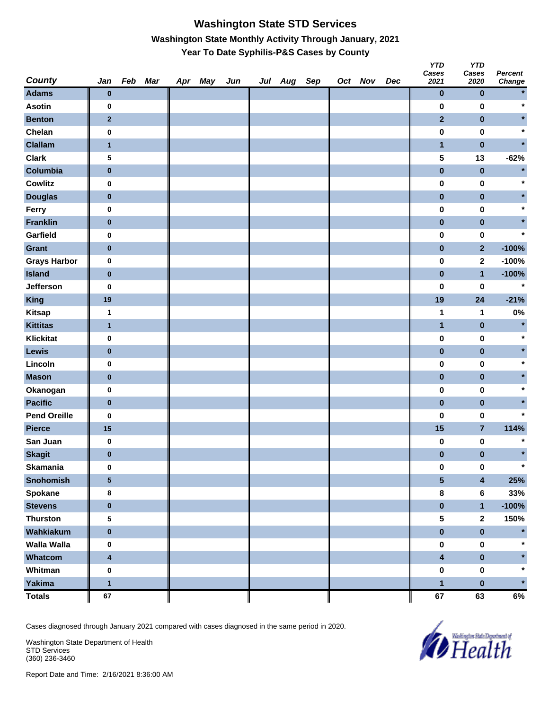# **Washington State STD Services Washington State Monthly Activity Through January, 2021 Year To Date Syphilis-P&S Cases by County**

| <b>County</b>       | Jan                     | Feb Mar | Apr May | Jun | Jul Aug Sep |  | Oct Nov | Dec | <b>YTD</b><br>Cases<br>2021 | <b>YTD</b><br>Cases<br>2020 | <b>Percent</b><br>Change |
|---------------------|-------------------------|---------|---------|-----|-------------|--|---------|-----|-----------------------------|-----------------------------|--------------------------|
| <b>Adams</b>        | $\bf{0}$                |         |         |     |             |  |         |     | $\pmb{0}$                   | $\pmb{0}$                   |                          |
| <b>Asotin</b>       | $\bf{0}$                |         |         |     |             |  |         |     | 0                           | $\bf{0}$                    | $\star$                  |
| <b>Benton</b>       | $\mathbf{2}$            |         |         |     |             |  |         |     | $\overline{2}$              | $\pmb{0}$                   |                          |
| Chelan              | $\bf{0}$                |         |         |     |             |  |         |     | $\pmb{0}$                   | $\pmb{0}$                   |                          |
| <b>Clallam</b>      | $\mathbf{1}$            |         |         |     |             |  |         |     | $\mathbf{1}$                | $\pmb{0}$                   |                          |
| <b>Clark</b>        | 5                       |         |         |     |             |  |         |     | 5                           | 13                          | $-62%$                   |
| Columbia            | $\pmb{0}$               |         |         |     |             |  |         |     | $\pmb{0}$                   | $\pmb{0}$                   |                          |
| <b>Cowlitz</b>      | $\bf{0}$                |         |         |     |             |  |         |     | $\pmb{0}$                   | $\pmb{0}$                   |                          |
| <b>Douglas</b>      | $\bf{0}$                |         |         |     |             |  |         |     | $\pmb{0}$                   | $\pmb{0}$                   |                          |
| Ferry               | $\bf{0}$                |         |         |     |             |  |         |     | $\pmb{0}$                   | $\pmb{0}$                   |                          |
| <b>Franklin</b>     | $\bf{0}$                |         |         |     |             |  |         |     | $\pmb{0}$                   | $\pmb{0}$                   |                          |
| Garfield            | $\bf{0}$                |         |         |     |             |  |         |     | $\pmb{0}$                   | $\pmb{0}$                   | $\star$                  |
| Grant               | $\bf{0}$                |         |         |     |             |  |         |     | $\pmb{0}$                   | $\overline{2}$              | $-100%$                  |
| <b>Grays Harbor</b> | $\bf{0}$                |         |         |     |             |  |         |     | $\pmb{0}$                   | $\mathbf{2}$                | $-100%$                  |
| <b>Island</b>       | $\bf{0}$                |         |         |     |             |  |         |     | $\pmb{0}$                   | $\mathbf{1}$                | $-100%$                  |
| Jefferson           | $\bf{0}$                |         |         |     |             |  |         |     | $\pmb{0}$                   | 0                           | $\star$                  |
| <b>King</b>         | 19                      |         |         |     |             |  |         |     | 19                          | 24                          | $-21%$                   |
| <b>Kitsap</b>       | $\mathbf{1}$            |         |         |     |             |  |         |     | 1                           | 1                           | 0%                       |
| <b>Kittitas</b>     | $\mathbf{1}$            |         |         |     |             |  |         |     | $\mathbf{1}$                | $\pmb{0}$                   | $\star$                  |
| <b>Klickitat</b>    | $\bf{0}$                |         |         |     |             |  |         |     | $\pmb{0}$                   | $\pmb{0}$                   |                          |
| Lewis               | $\bf{0}$                |         |         |     |             |  |         |     | $\pmb{0}$                   | $\pmb{0}$                   |                          |
| Lincoln             | $\bf{0}$                |         |         |     |             |  |         |     | $\pmb{0}$                   | 0                           |                          |
| <b>Mason</b>        | $\bf{0}$                |         |         |     |             |  |         |     | $\pmb{0}$                   | $\pmb{0}$                   |                          |
| Okanogan            | $\bf{0}$                |         |         |     |             |  |         |     | $\pmb{0}$                   | $\pmb{0}$                   |                          |
| <b>Pacific</b>      | $\pmb{0}$               |         |         |     |             |  |         |     | $\pmb{0}$                   | $\pmb{0}$                   |                          |
| <b>Pend Oreille</b> | 0                       |         |         |     |             |  |         |     | $\pmb{0}$                   | 0                           |                          |
| <b>Pierce</b>       | 15                      |         |         |     |             |  |         |     | 15                          | $\overline{7}$              | 114%                     |
| San Juan            | $\bf{0}$                |         |         |     |             |  |         |     | 0                           | 0                           | $\star$                  |
| <b>Skagit</b>       | $\pmb{0}$               |         |         |     |             |  |         |     | $\pmb{0}$                   | $\pmb{0}$                   | $\star$                  |
| <b>Skamania</b>     | $\bf{0}$                |         |         |     |             |  |         |     | $\pmb{0}$                   | $\pmb{0}$                   | $\star$                  |
| <b>Snohomish</b>    | $\overline{\mathbf{5}}$ |         |         |     |             |  |         |     | $5\phantom{a}$              | $\overline{\mathbf{4}}$     | 25%                      |
| Spokane             | 8                       |         |         |     |             |  |         |     | $\pmb{8}$                   | $\bf 6$                     | 33%                      |
| <b>Stevens</b>      | $\pmb{0}$               |         |         |     |             |  |         |     | $\pmb{0}$                   | $\mathbf{1}$                | $-100%$                  |
| <b>Thurston</b>     | ${\bf 5}$               |         |         |     |             |  |         |     | 5                           | $\mathbf{2}$                | 150%                     |
| Wahkiakum           | $\pmb{0}$               |         |         |     |             |  |         |     | $\pmb{0}$                   | $\pmb{0}$                   |                          |
| <b>Walla Walla</b>  | $\bf{0}$                |         |         |     |             |  |         |     | $\pmb{0}$                   | $\pmb{0}$                   |                          |
| Whatcom             | $\overline{\mathbf{4}}$ |         |         |     |             |  |         |     | $\overline{\mathbf{4}}$     | $\pmb{0}$                   |                          |
| Whitman             | $\bf{0}$                |         |         |     |             |  |         |     | $\pmb{0}$                   | $\pmb{0}$                   |                          |
| Yakima              | $\mathbf{1}$            |         |         |     |             |  |         |     | $\mathbf{1}$                | $\pmb{0}$                   | $\star$                  |
| <b>Totals</b>       | 67                      |         |         |     |             |  |         |     | 67                          | 63                          | 6%                       |

Cases diagnosed through January 2021 compared with cases diagnosed in the same period in 2020.

Washington State Department of Health STD Services (360) 236-3460

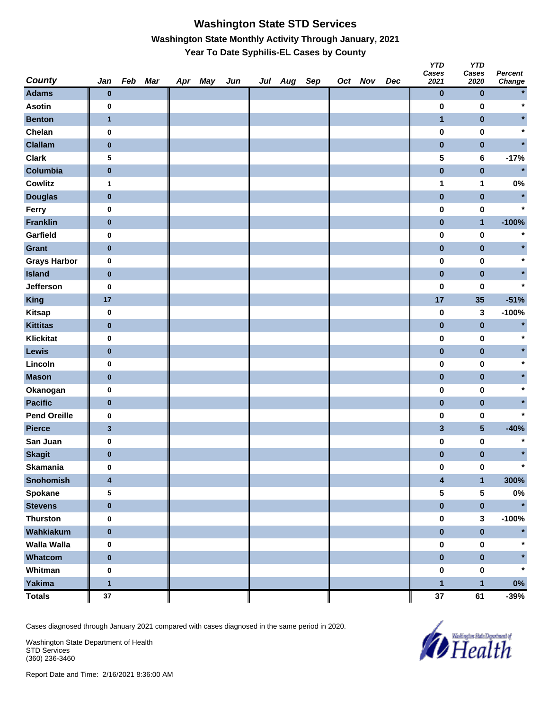# **Washington State STD Services Washington State Monthly Activity Through January, 2021 Year To Date Syphilis-EL Cases by County**

| <b>County</b>       | Jan                     | Feb Mar | Apr May | Jun | Jul Aug Sep |  | Oct Nov | Dec | <b>YTD</b><br>Cases<br>2021 | <b>YTD</b><br>Cases<br>2020 | <b>Percent</b><br>Change |
|---------------------|-------------------------|---------|---------|-----|-------------|--|---------|-----|-----------------------------|-----------------------------|--------------------------|
| <b>Adams</b>        | $\bf{0}$                |         |         |     |             |  |         |     | $\pmb{0}$                   | $\pmb{0}$                   |                          |
| <b>Asotin</b>       | $\bf{0}$                |         |         |     |             |  |         |     | $\pmb{0}$                   | $\bf{0}$                    | $\star$                  |
| <b>Benton</b>       | $\mathbf{1}$            |         |         |     |             |  |         |     | $\overline{\mathbf{1}}$     | $\pmb{0}$                   |                          |
| Chelan              | $\bf{0}$                |         |         |     |             |  |         |     | $\pmb{0}$                   | $\pmb{0}$                   |                          |
| <b>Clallam</b>      | $\bf{0}$                |         |         |     |             |  |         |     | $\pmb{0}$                   | $\pmb{0}$                   |                          |
| <b>Clark</b>        | 5                       |         |         |     |             |  |         |     | 5                           | $\bf 6$                     | $-17%$                   |
| Columbia            | $\pmb{0}$               |         |         |     |             |  |         |     | $\pmb{0}$                   | $\pmb{0}$                   | $\star$                  |
| <b>Cowlitz</b>      | 1                       |         |         |     |             |  |         |     | 1                           | 1                           | $0\%$                    |
| <b>Douglas</b>      | $\bf{0}$                |         |         |     |             |  |         |     | $\pmb{0}$                   | $\pmb{0}$                   | $\star$                  |
| Ferry               | $\bf{0}$                |         |         |     |             |  |         |     | 0                           | $\pmb{0}$                   | $\star$                  |
| <b>Franklin</b>     | $\bf{0}$                |         |         |     |             |  |         |     | $\pmb{0}$                   | $\mathbf{1}$                | $-100%$                  |
| Garfield            | $\bf{0}$                |         |         |     |             |  |         |     | 0                           | $\pmb{0}$                   |                          |
| Grant               | $\bf{0}$                |         |         |     |             |  |         |     | $\pmb{0}$                   | $\pmb{0}$                   |                          |
| <b>Grays Harbor</b> | $\bf{0}$                |         |         |     |             |  |         |     | $\pmb{0}$                   | $\pmb{0}$                   |                          |
| <b>Island</b>       | $\bf{0}$                |         |         |     |             |  |         |     | $\pmb{0}$                   | $\pmb{0}$                   |                          |
| Jefferson           | $\bf{0}$                |         |         |     |             |  |         |     | $\pmb{0}$                   | 0                           |                          |
| <b>King</b>         | 17                      |         |         |     |             |  |         |     | 17                          | 35                          | $-51%$                   |
| <b>Kitsap</b>       | $\bf{0}$                |         |         |     |             |  |         |     | $\pmb{0}$                   | 3                           | $-100%$                  |
| <b>Kittitas</b>     | $\bf{0}$                |         |         |     |             |  |         |     | $\pmb{0}$                   | $\pmb{0}$                   | $\star$                  |
| <b>Klickitat</b>    | $\bf{0}$                |         |         |     |             |  |         |     | $\pmb{0}$                   | $\pmb{0}$                   |                          |
| Lewis               | $\bf{0}$                |         |         |     |             |  |         |     | $\pmb{0}$                   | $\pmb{0}$                   |                          |
| Lincoln             | $\bf{0}$                |         |         |     |             |  |         |     | $\pmb{0}$                   | 0                           |                          |
| <b>Mason</b>        | $\bf{0}$                |         |         |     |             |  |         |     | $\pmb{0}$                   | $\pmb{0}$                   |                          |
| Okanogan            | $\bf{0}$                |         |         |     |             |  |         |     | $\pmb{0}$                   | $\pmb{0}$                   |                          |
| <b>Pacific</b>      | $\pmb{0}$               |         |         |     |             |  |         |     | $\pmb{0}$                   | $\pmb{0}$                   |                          |
| <b>Pend Oreille</b> | 0                       |         |         |     |             |  |         |     | $\pmb{0}$                   | 0                           |                          |
| <b>Pierce</b>       | $\mathbf 3$             |         |         |     |             |  |         |     | $\mathbf{3}$                | $5\phantom{.0}$             | $-40%$                   |
| San Juan            | $\bf{0}$                |         |         |     |             |  |         |     | 0                           | 0                           |                          |
| <b>Skagit</b>       | $\pmb{0}$               |         |         |     |             |  |         |     | $\pmb{0}$                   | $\pmb{0}$                   |                          |
| <b>Skamania</b>     | $\bf{0}$                |         |         |     |             |  |         |     | $\pmb{0}$                   | $\pmb{0}$                   |                          |
| <b>Snohomish</b>    | $\overline{\mathbf{4}}$ |         |         |     |             |  |         |     | $\overline{\mathbf{4}}$     | $\mathbf{1}$                | 300%                     |
| Spokane             | 5                       |         |         |     |             |  |         |     | 5                           | ${\bf 5}$                   | $0\%$                    |
| <b>Stevens</b>      | $\pmb{0}$               |         |         |     |             |  |         |     | $\pmb{0}$                   | $\pmb{0}$                   | $\star$                  |
| <b>Thurston</b>     | $\pmb{0}$               |         |         |     |             |  |         |     | $\pmb{0}$                   | 3                           | $-100%$                  |
| Wahkiakum           | $\pmb{0}$               |         |         |     |             |  |         |     | $\pmb{0}$                   | $\pmb{0}$                   |                          |
| <b>Walla Walla</b>  | $\bf{0}$                |         |         |     |             |  |         |     | $\pmb{0}$                   | $\pmb{0}$                   |                          |
| Whatcom             | $\pmb{0}$               |         |         |     |             |  |         |     | $\pmb{0}$                   | $\pmb{0}$                   |                          |
| Whitman             | $\bf{0}$                |         |         |     |             |  |         |     | $\pmb{0}$                   | $\pmb{0}$                   | $\star$                  |
| Yakima              | $\mathbf{1}$            |         |         |     |             |  |         |     | $\mathbf{1}$                | $\mathbf{1}$                | $0\%$                    |
| <b>Totals</b>       | $37\,$                  |         |         |     |             |  |         |     | $37\,$                      | 61                          | $-39%$                   |

Cases diagnosed through January 2021 compared with cases diagnosed in the same period in 2020.

Washington State Department of Health STD Services (360) 236-3460

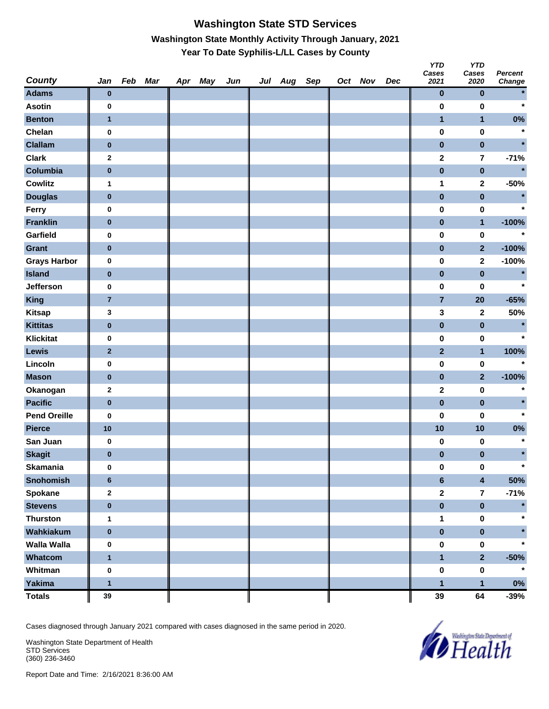#### **Washington State STD Services Washington State Monthly Activity Through January, 2021 Year To Date Syphilis-L/LL Cases by County**

| <b>County</b>       | Jan            | Feb Mar | Apr May | Jun | Jul Aug Sep |  | Oct Nov | Dec | <b>YTD</b><br>Cases<br>2021 | <b>YTD</b><br>Cases<br>2020 | <b>Percent</b><br>Change |
|---------------------|----------------|---------|---------|-----|-------------|--|---------|-----|-----------------------------|-----------------------------|--------------------------|
| <b>Adams</b>        | $\bf{0}$       |         |         |     |             |  |         |     | $\pmb{0}$                   | $\pmb{0}$                   | $\star$                  |
| <b>Asotin</b>       | 0              |         |         |     |             |  |         |     | $\pmb{0}$                   | $\bf{0}$                    | $\star$                  |
| <b>Benton</b>       | $\mathbf{1}$   |         |         |     |             |  |         |     | $\mathbf{1}$                | $\mathbf{1}$                | $0\%$                    |
| Chelan              | $\pmb{0}$      |         |         |     |             |  |         |     | $\pmb{0}$                   | $\pmb{0}$                   | $\star$                  |
| <b>Clallam</b>      | $\pmb{0}$      |         |         |     |             |  |         |     | $\pmb{0}$                   | $\pmb{0}$                   |                          |
| <b>Clark</b>        | $\mathbf{2}$   |         |         |     |             |  |         |     | $\mathbf 2$                 | $\overline{7}$              | $-71%$                   |
| Columbia            | $\pmb{0}$      |         |         |     |             |  |         |     | $\pmb{0}$                   | $\pmb{0}$                   | $\star$                  |
| <b>Cowlitz</b>      | $\mathbf{1}$   |         |         |     |             |  |         |     | 1                           | $\mathbf{2}$                | $-50%$                   |
| <b>Douglas</b>      | $\bf{0}$       |         |         |     |             |  |         |     | $\pmb{0}$                   | $\pmb{0}$                   | $\star$                  |
| Ferry               | 0              |         |         |     |             |  |         |     | $\pmb{0}$                   | $\pmb{0}$                   | $\star$                  |
| <b>Franklin</b>     | $\bf{0}$       |         |         |     |             |  |         |     | $\pmb{0}$                   | $\mathbf{1}$                | $-100%$                  |
| Garfield            | 0              |         |         |     |             |  |         |     | 0                           | $\pmb{0}$                   | $\star$                  |
| <b>Grant</b>        | $\bf{0}$       |         |         |     |             |  |         |     | $\pmb{0}$                   | $\overline{2}$              | $-100%$                  |
| <b>Grays Harbor</b> | $\pmb{0}$      |         |         |     |             |  |         |     | $\pmb{0}$                   | $\mathbf 2$                 | $-100%$                  |
| <b>Island</b>       | $\bf{0}$       |         |         |     |             |  |         |     | $\pmb{0}$                   | $\pmb{0}$                   | $\star$                  |
| <b>Jefferson</b>    | $\pmb{0}$      |         |         |     |             |  |         |     | $\pmb{0}$                   | 0                           | $\star$                  |
| <b>King</b>         | $\overline{7}$ |         |         |     |             |  |         |     | $\overline{7}$              | 20                          | $-65%$                   |
| <b>Kitsap</b>       | 3              |         |         |     |             |  |         |     | 3                           | $\mathbf{2}$                | 50%                      |
| <b>Kittitas</b>     | $\bf{0}$       |         |         |     |             |  |         |     | $\pmb{0}$                   | $\pmb{0}$                   | $\star$                  |
| <b>Klickitat</b>    | $\pmb{0}$      |         |         |     |             |  |         |     | $\pmb{0}$                   | $\pmb{0}$                   | $\star$                  |
| <b>Lewis</b>        | $\mathbf{2}$   |         |         |     |             |  |         |     | $\mathbf{2}$                | $\mathbf{1}$                | 100%                     |
| Lincoln             | 0              |         |         |     |             |  |         |     | 0                           | $\pmb{0}$                   | $\star$                  |
| <b>Mason</b>        | $\bf{0}$       |         |         |     |             |  |         |     | $\pmb{0}$                   | $\mathbf{2}$                | $-100%$                  |
| Okanogan            | $\bf{2}$       |         |         |     |             |  |         |     | $\mathbf 2$                 | $\pmb{0}$                   | $\ast$                   |
| <b>Pacific</b>      | $\pmb{0}$      |         |         |     |             |  |         |     | $\pmb{0}$                   | $\pmb{0}$                   |                          |
| <b>Pend Oreille</b> | 0              |         |         |     |             |  |         |     | 0                           | 0                           | $\star$                  |
| <b>Pierce</b>       | 10             |         |         |     |             |  |         |     | 10                          | 10                          | $0\%$                    |
| San Juan            | $\pmb{0}$      |         |         |     |             |  |         |     | 0                           | 0                           | $\star$                  |
| <b>Skagit</b>       | $\bf{0}$       |         |         |     |             |  |         |     | $\pmb{0}$                   | $\pmb{0}$                   | $\star$                  |
| <b>Skamania</b>     | $\pmb{0}$      |         |         |     |             |  |         |     | $\pmb{0}$                   | $\pmb{0}$                   | $\star$                  |
| <b>Snohomish</b>    | $\bf 6$        |         |         |     |             |  |         |     | $\bf 6$                     | $\overline{\mathbf{4}}$     | 50%                      |
| <b>Spokane</b>      | $\mathbf{2}$   |         |         |     |             |  |         |     | $\mathbf 2$                 | $\overline{7}$              | $-71%$                   |
| <b>Stevens</b>      | $\pmb{0}$      |         |         |     |             |  |         |     | $\pmb{0}$                   | $\pmb{0}$                   | $\star$                  |
| <b>Thurston</b>     | $\mathbf{1}$   |         |         |     |             |  |         |     | 1                           | $\pmb{0}$                   | $\star$                  |
| Wahkiakum           | $\pmb{0}$      |         |         |     |             |  |         |     | $\pmb{0}$                   | $\pmb{0}$                   |                          |
| <b>Walla Walla</b>  | $\pmb{0}$      |         |         |     |             |  |         |     | $\pmb{0}$                   | $\pmb{0}$                   |                          |
| Whatcom             | $\mathbf{1}$   |         |         |     |             |  |         |     | $\mathbf{1}$                | $\overline{2}$              | $-50%$                   |
| Whitman             | $\pmb{0}$      |         |         |     |             |  |         |     | $\pmb{0}$                   | $\pmb{0}$                   | $\star$                  |
| <b>Yakima</b>       | $\mathbf{1}$   |         |         |     |             |  |         |     | $\mathbf{1}$                | $\mathbf{1}$                | $0\%$                    |
| <b>Totals</b>       | 39             |         |         |     |             |  |         |     | 39                          | 64                          | $-39%$                   |

Cases diagnosed through January 2021 compared with cases diagnosed in the same period in 2020.

Washington State Department of Health STD Services (360) 236-3460